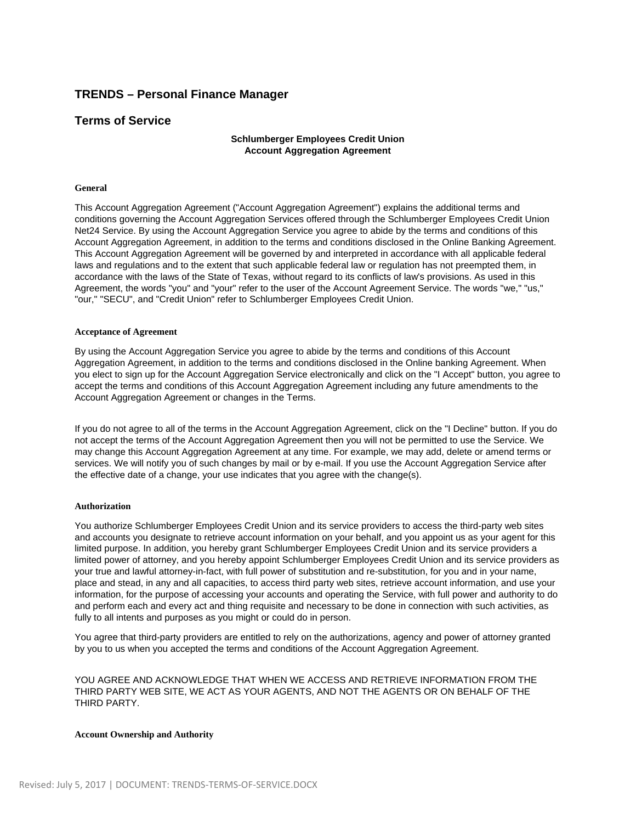# **TRENDS – Personal Finance Manager**

# **Terms of Service**

# **Schlumberger Employees Credit Union Account Aggregation Agreement**

# **General**

This Account Aggregation Agreement ("Account Aggregation Agreement") explains the additional terms and conditions governing the Account Aggregation Services offered through the Schlumberger Employees Credit Union Net24 Service. By using the Account Aggregation Service you agree to abide by the terms and conditions of this Account Aggregation Agreement, in addition to the terms and conditions disclosed in the Online Banking Agreement. This Account Aggregation Agreement will be governed by and interpreted in accordance with all applicable federal laws and regulations and to the extent that such applicable federal law or regulation has not preempted them, in accordance with the laws of the State of Texas, without regard to its conflicts of law's provisions. As used in this Agreement, the words "you" and "your" refer to the user of the Account Agreement Service. The words "we," "us," "our," "SECU", and "Credit Union" refer to Schlumberger Employees Credit Union.

# **Acceptance of Agreement**

By using the Account Aggregation Service you agree to abide by the terms and conditions of this Account Aggregation Agreement, in addition to the terms and conditions disclosed in the Online banking Agreement. When you elect to sign up for the Account Aggregation Service electronically and click on the "I Accept" button, you agree to accept the terms and conditions of this Account Aggregation Agreement including any future amendments to the Account Aggregation Agreement or changes in the Terms.

If you do not agree to all of the terms in the Account Aggregation Agreement, click on the "I Decline" button. If you do not accept the terms of the Account Aggregation Agreement then you will not be permitted to use the Service. We may change this Account Aggregation Agreement at any time. For example, we may add, delete or amend terms or services. We will notify you of such changes by mail or by e-mail. If you use the Account Aggregation Service after the effective date of a change, your use indicates that you agree with the change(s).

#### **Authorization**

You authorize Schlumberger Employees Credit Union and its service providers to access the third-party web sites and accounts you designate to retrieve account information on your behalf, and you appoint us as your agent for this limited purpose. In addition, you hereby grant Schlumberger Employees Credit Union and its service providers a limited power of attorney, and you hereby appoint Schlumberger Employees Credit Union and its service providers as your true and lawful attorney-in-fact, with full power of substitution and re-substitution, for you and in your name, place and stead, in any and all capacities, to access third party web sites, retrieve account information, and use your information, for the purpose of accessing your accounts and operating the Service, with full power and authority to do and perform each and every act and thing requisite and necessary to be done in connection with such activities, as fully to all intents and purposes as you might or could do in person.

You agree that third-party providers are entitled to rely on the authorizations, agency and power of attorney granted by you to us when you accepted the terms and conditions of the Account Aggregation Agreement.

YOU AGREE AND ACKNOWLEDGE THAT WHEN WE ACCESS AND RETRIEVE INFORMATION FROM THE THIRD PARTY WEB SITE, WE ACT AS YOUR AGENTS, AND NOT THE AGENTS OR ON BEHALF OF THE THIRD PARTY.

#### **Account Ownership and Authority**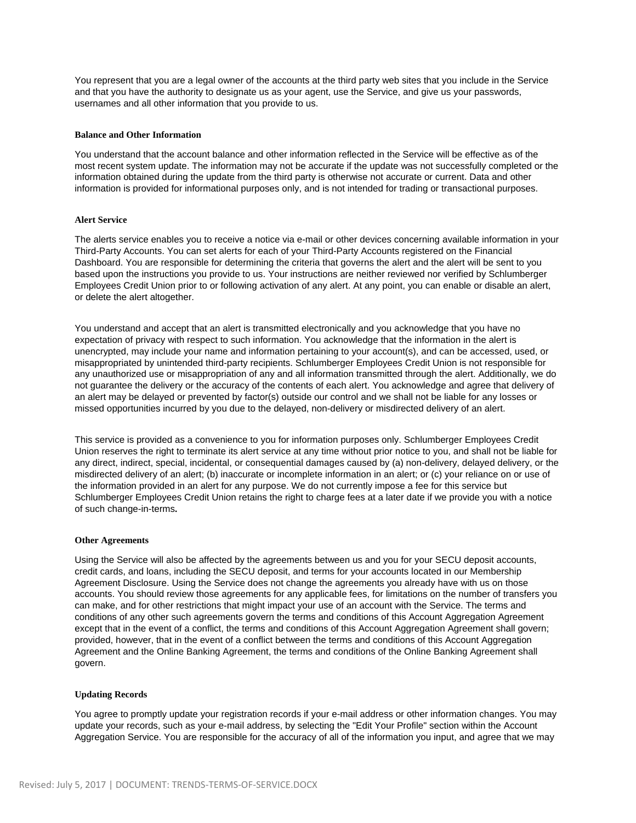You represent that you are a legal owner of the accounts at the third party web sites that you include in the Service and that you have the authority to designate us as your agent, use the Service, and give us your passwords, usernames and all other information that you provide to us.

# **Balance and Other Information**

You understand that the account balance and other information reflected in the Service will be effective as of the most recent system update. The information may not be accurate if the update was not successfully completed or the information obtained during the update from the third party is otherwise not accurate or current. Data and other information is provided for informational purposes only, and is not intended for trading or transactional purposes.

## **Alert Service**

The alerts service enables you to receive a notice via e-mail or other devices concerning available information in your Third-Party Accounts. You can set alerts for each of your Third-Party Accounts registered on the Financial Dashboard. You are responsible for determining the criteria that governs the alert and the alert will be sent to you based upon the instructions you provide to us. Your instructions are neither reviewed nor verified by Schlumberger Employees Credit Union prior to or following activation of any alert. At any point, you can enable or disable an alert, or delete the alert altogether.

You understand and accept that an alert is transmitted electronically and you acknowledge that you have no expectation of privacy with respect to such information. You acknowledge that the information in the alert is unencrypted, may include your name and information pertaining to your account(s), and can be accessed, used, or misappropriated by unintended third-party recipients. Schlumberger Employees Credit Union is not responsible for any unauthorized use or misappropriation of any and all information transmitted through the alert. Additionally, we do not guarantee the delivery or the accuracy of the contents of each alert. You acknowledge and agree that delivery of an alert may be delayed or prevented by factor(s) outside our control and we shall not be liable for any losses or missed opportunities incurred by you due to the delayed, non-delivery or misdirected delivery of an alert.

This service is provided as a convenience to you for information purposes only. Schlumberger Employees Credit Union reserves the right to terminate its alert service at any time without prior notice to you, and shall not be liable for any direct, indirect, special, incidental, or consequential damages caused by (a) non-delivery, delayed delivery, or the misdirected delivery of an alert; (b) inaccurate or incomplete information in an alert; or (c) your reliance on or use of the information provided in an alert for any purpose. We do not currently impose a fee for this service but Schlumberger Employees Credit Union retains the right to charge fees at a later date if we provide you with a notice of such change-in-terms**.**

#### **Other Agreements**

Using the Service will also be affected by the agreements between us and you for your SECU deposit accounts, credit cards, and loans, including the SECU deposit, and terms for your accounts located in our Membership Agreement Disclosure. Using the Service does not change the agreements you already have with us on those accounts. You should review those agreements for any applicable fees, for limitations on the number of transfers you can make, and for other restrictions that might impact your use of an account with the Service. The terms and conditions of any other such agreements govern the terms and conditions of this Account Aggregation Agreement except that in the event of a conflict, the terms and conditions of this Account Aggregation Agreement shall govern; provided, however, that in the event of a conflict between the terms and conditions of this Account Aggregation Agreement and the Online Banking Agreement, the terms and conditions of the Online Banking Agreement shall govern.

#### **Updating Records**

You agree to promptly update your registration records if your e-mail address or other information changes. You may update your records, such as your e-mail address, by selecting the "Edit Your Profile" section within the Account Aggregation Service. You are responsible for the accuracy of all of the information you input, and agree that we may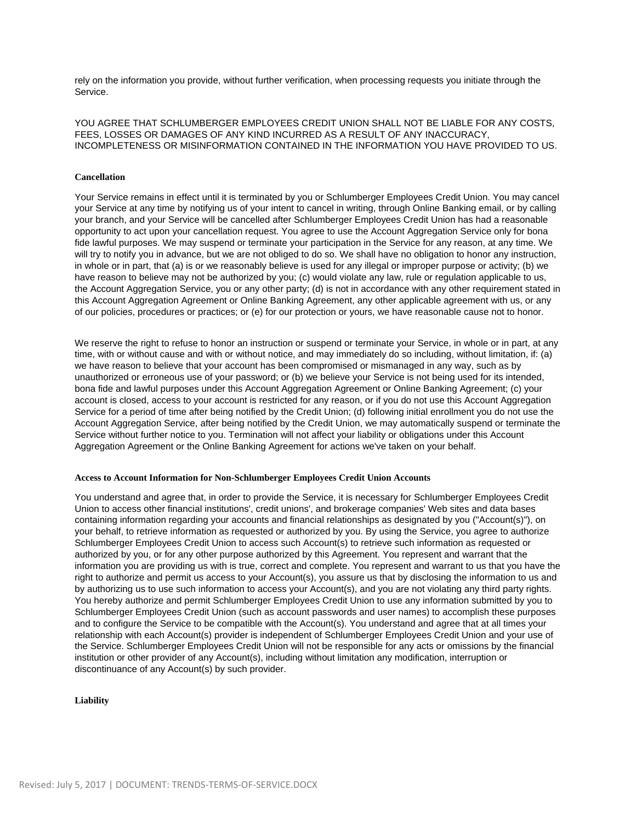rely on the information you provide, without further verification, when processing requests you initiate through the Service.

YOU AGREE THAT SCHLUMBERGER EMPLOYEES CREDIT UNION SHALL NOT BE LIABLE FOR ANY COSTS, FEES, LOSSES OR DAMAGES OF ANY KIND INCURRED AS A RESULT OF ANY INACCURACY, INCOMPLETENESS OR MISINFORMATION CONTAINED IN THE INFORMATION YOU HAVE PROVIDED TO US.

## **Cancellation**

Your Service remains in effect until it is terminated by you or Schlumberger Employees Credit Union. You may cancel your Service at any time by notifying us of your intent to cancel in writing, through Online Banking email, or by calling your branch, and your Service will be cancelled after Schlumberger Employees Credit Union has had a reasonable opportunity to act upon your cancellation request. You agree to use the Account Aggregation Service only for bona fide lawful purposes. We may suspend or terminate your participation in the Service for any reason, at any time. We will try to notify you in advance, but we are not obliged to do so. We shall have no obligation to honor any instruction, in whole or in part, that (a) is or we reasonably believe is used for any illegal or improper purpose or activity; (b) we have reason to believe may not be authorized by you; (c) would violate any law, rule or regulation applicable to us, the Account Aggregation Service, you or any other party; (d) is not in accordance with any other requirement stated in this Account Aggregation Agreement or Online Banking Agreement, any other applicable agreement with us, or any of our policies, procedures or practices; or (e) for our protection or yours, we have reasonable cause not to honor.

We reserve the right to refuse to honor an instruction or suspend or terminate your Service, in whole or in part, at any time, with or without cause and with or without notice, and may immediately do so including, without limitation, if: (a) we have reason to believe that your account has been compromised or mismanaged in any way, such as by unauthorized or erroneous use of your password; or (b) we believe your Service is not being used for its intended, bona fide and lawful purposes under this Account Aggregation Agreement or Online Banking Agreement; (c) your account is closed, access to your account is restricted for any reason, or if you do not use this Account Aggregation Service for a period of time after being notified by the Credit Union; (d) following initial enrollment you do not use the Account Aggregation Service, after being notified by the Credit Union, we may automatically suspend or terminate the Service without further notice to you. Termination will not affect your liability or obligations under this Account Aggregation Agreement or the Online Banking Agreement for actions we've taken on your behalf.

#### **Access to Account Information for Non-Schlumberger Employees Credit Union Accounts**

You understand and agree that, in order to provide the Service, it is necessary for Schlumberger Employees Credit Union to access other financial institutions', credit unions', and brokerage companies' Web sites and data bases containing information regarding your accounts and financial relationships as designated by you ("Account(s)"), on your behalf, to retrieve information as requested or authorized by you. By using the Service, you agree to authorize Schlumberger Employees Credit Union to access such Account(s) to retrieve such information as requested or authorized by you, or for any other purpose authorized by this Agreement. You represent and warrant that the information you are providing us with is true, correct and complete. You represent and warrant to us that you have the right to authorize and permit us access to your Account(s), you assure us that by disclosing the information to us and by authorizing us to use such information to access your Account(s), and you are not violating any third party rights. You hereby authorize and permit Schlumberger Employees Credit Union to use any information submitted by you to Schlumberger Employees Credit Union (such as account passwords and user names) to accomplish these purposes and to configure the Service to be compatible with the Account(s). You understand and agree that at all times your relationship with each Account(s) provider is independent of Schlumberger Employees Credit Union and your use of the Service. Schlumberger Employees Credit Union will not be responsible for any acts or omissions by the financial institution or other provider of any Account(s), including without limitation any modification, interruption or discontinuance of any Account(s) by such provider.

#### **Liability**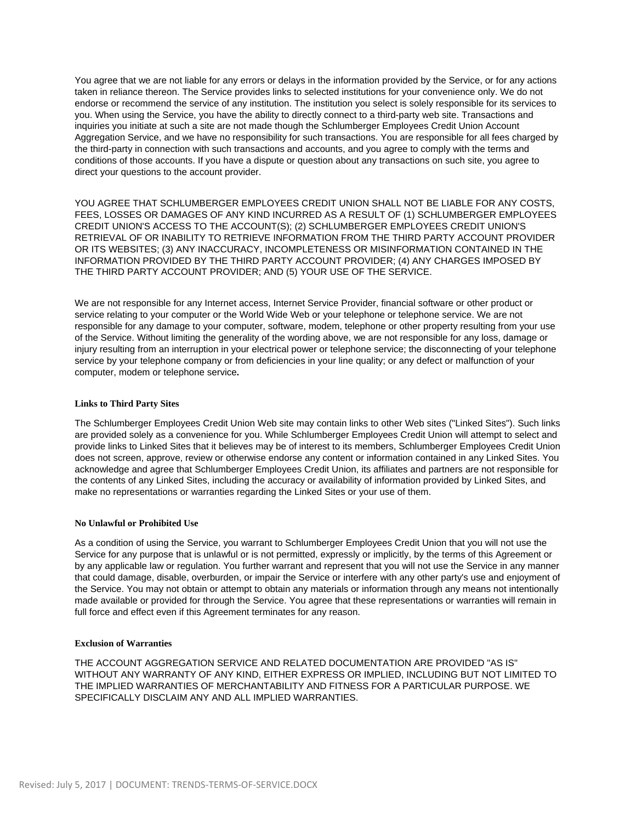You agree that we are not liable for any errors or delays in the information provided by the Service, or for any actions taken in reliance thereon. The Service provides links to selected institutions for your convenience only. We do not endorse or recommend the service of any institution. The institution you select is solely responsible for its services to you. When using the Service, you have the ability to directly connect to a third-party web site. Transactions and inquiries you initiate at such a site are not made though the Schlumberger Employees Credit Union Account Aggregation Service, and we have no responsibility for such transactions. You are responsible for all fees charged by the third-party in connection with such transactions and accounts, and you agree to comply with the terms and conditions of those accounts. If you have a dispute or question about any transactions on such site, you agree to direct your questions to the account provider.

YOU AGREE THAT SCHLUMBERGER EMPLOYEES CREDIT UNION SHALL NOT BE LIABLE FOR ANY COSTS, FEES, LOSSES OR DAMAGES OF ANY KIND INCURRED AS A RESULT OF (1) SCHLUMBERGER EMPLOYEES CREDIT UNION'S ACCESS TO THE ACCOUNT(S); (2) SCHLUMBERGER EMPLOYEES CREDIT UNION'S RETRIEVAL OF OR INABILITY TO RETRIEVE INFORMATION FROM THE THIRD PARTY ACCOUNT PROVIDER OR ITS WEBSITES; (3) ANY INACCURACY, INCOMPLETENESS OR MISINFORMATION CONTAINED IN THE INFORMATION PROVIDED BY THE THIRD PARTY ACCOUNT PROVIDER; (4) ANY CHARGES IMPOSED BY THE THIRD PARTY ACCOUNT PROVIDER; AND (5) YOUR USE OF THE SERVICE.

We are not responsible for any Internet access, Internet Service Provider, financial software or other product or service relating to your computer or the World Wide Web or your telephone or telephone service. We are not responsible for any damage to your computer, software, modem, telephone or other property resulting from your use of the Service. Without limiting the generality of the wording above, we are not responsible for any loss, damage or injury resulting from an interruption in your electrical power or telephone service; the disconnecting of your telephone service by your telephone company or from deficiencies in your line quality; or any defect or malfunction of your computer, modem or telephone service**.**

# **Links to Third Party Sites**

The Schlumberger Employees Credit Union Web site may contain links to other Web sites ("Linked Sites"). Such links are provided solely as a convenience for you. While Schlumberger Employees Credit Union will attempt to select and provide links to Linked Sites that it believes may be of interest to its members, Schlumberger Employees Credit Union does not screen, approve, review or otherwise endorse any content or information contained in any Linked Sites. You acknowledge and agree that Schlumberger Employees Credit Union, its affiliates and partners are not responsible for the contents of any Linked Sites, including the accuracy or availability of information provided by Linked Sites, and make no representations or warranties regarding the Linked Sites or your use of them.

# **No Unlawful or Prohibited Use**

As a condition of using the Service, you warrant to Schlumberger Employees Credit Union that you will not use the Service for any purpose that is unlawful or is not permitted, expressly or implicitly, by the terms of this Agreement or by any applicable law or regulation. You further warrant and represent that you will not use the Service in any manner that could damage, disable, overburden, or impair the Service or interfere with any other party's use and enjoyment of the Service. You may not obtain or attempt to obtain any materials or information through any means not intentionally made available or provided for through the Service. You agree that these representations or warranties will remain in full force and effect even if this Agreement terminates for any reason.

# **Exclusion of Warranties**

THE ACCOUNT AGGREGATION SERVICE AND RELATED DOCUMENTATION ARE PROVIDED "AS IS" WITHOUT ANY WARRANTY OF ANY KIND, EITHER EXPRESS OR IMPLIED, INCLUDING BUT NOT LIMITED TO THE IMPLIED WARRANTIES OF MERCHANTABILITY AND FITNESS FOR A PARTICULAR PURPOSE. WE SPECIFICALLY DISCLAIM ANY AND ALL IMPLIED WARRANTIES.